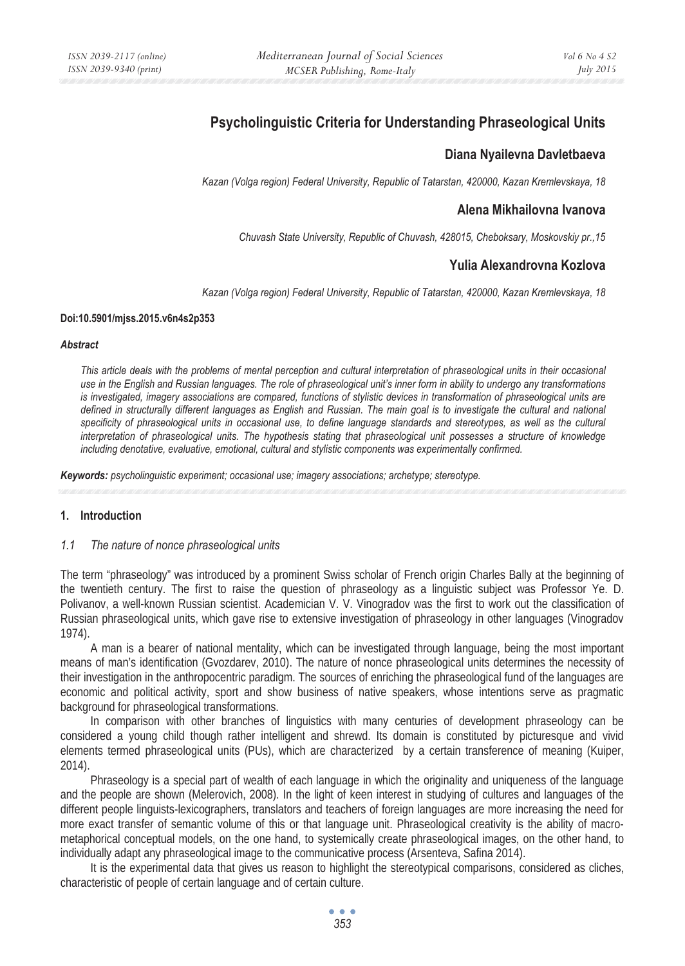# **Psycholinguistic Criteria for Understanding Phraseological Units**

# **Diana Nyailevna Davletbaeva**

*Kazan (Volga region) Federal University, Republic of Tatarstan, 420000, Kazan Kremlevskaya, 18* 

# **Alena Mikhailovna Ivanova**

*Chuvash State University, Republic of Chuvash, 428015, Cheboksary, Moskovskiy pr.,15* 

# **Yulia Alexandrovna Kozlova**

*Kazan (Volga region) Federal University, Republic of Tatarstan, 420000, Kazan Kremlevskaya, 18* 

### **Doi:10.5901/mjss.2015.v6n4s2p353**

#### *Abstract*

*This article deals with the problems of mental perception and cultural interpretation of phraseological units in their occasional use in the English and Russian languages. The role of phraseological unit's inner form in ability to undergo any transformations*  is investigated, imagery associations are compared, functions of stylistic devices in transformation of phraseological units are *defined in structurally different languages as English and Russian. The main goal is to investigate the cultural and national specificity of phraseological units in occasional use, to define language standards and stereotypes, as well as the cultural interpretation of phraseological units. The hypothesis stating that phraseological unit possesses a structure of knowledge including denotative, evaluative, emotional, cultural and stylistic components was experimentally confirmed.* 

*Keywords: psycholinguistic experiment; occasional use; imagery associations; archetype; stereotype.*

# **1. Introduction**

### *1.1 The nature of nonce phraseological units*

The term "phraseology" was introduced by a prominent Swiss scholar of French origin Charles Bally at the beginning of the twentieth century. The first to raise the question of phraseology as a linguistic subject was Professor Ye. D. Polivanov, a well-known Russian scientist. Academician V. V. Vinogradov was the first to work out the classification of Russian phraseological units, which gave rise to extensive investigation of phraseology in other languages (Vinogradov 1974).

A man is a bearer of national mentality, which can be investigated through language, being the most important means of man's identification (Gvozdarev, 2010). The nature of nonce phraseological units determines the necessity of their investigation in the anthropocentric paradigm. The sources of enriching the phraseological fund of the languages are economic and political activity, sport and show business of native speakers, whose intentions serve as pragmatic background for phraseological transformations.

In comparison with other branches of linguistics with many centuries of development phraseology can be considered a young child though rather intelligent and shrewd. Its domain is constituted by picturesque and vivid elements termed phraseological units (PUs), which are characterized by a certain transference of meaning (Kuiper, 2014).

Phraseology is a special part of wealth of each language in which the originality and uniqueness of the language and the people are shown (Melerovich, 2008). In the light of keen interest in studying of cultures and languages of the different people linguists-lexicographers, translators and teachers of foreign languages are more increasing the need for more exact transfer of semantic volume of this or that language unit. Phraseological creativity is the ability of macrometaphorical conceptual models, on the one hand, to systemically create phraseological images, on the other hand, to individually adapt any phraseological image to the communicative process (Arsenteva, Safina 2014).

It is the experimental data that gives us reason to highlight the stereotypical comparisons, considered as cliches, characteristic of people of certain language and of certain culture.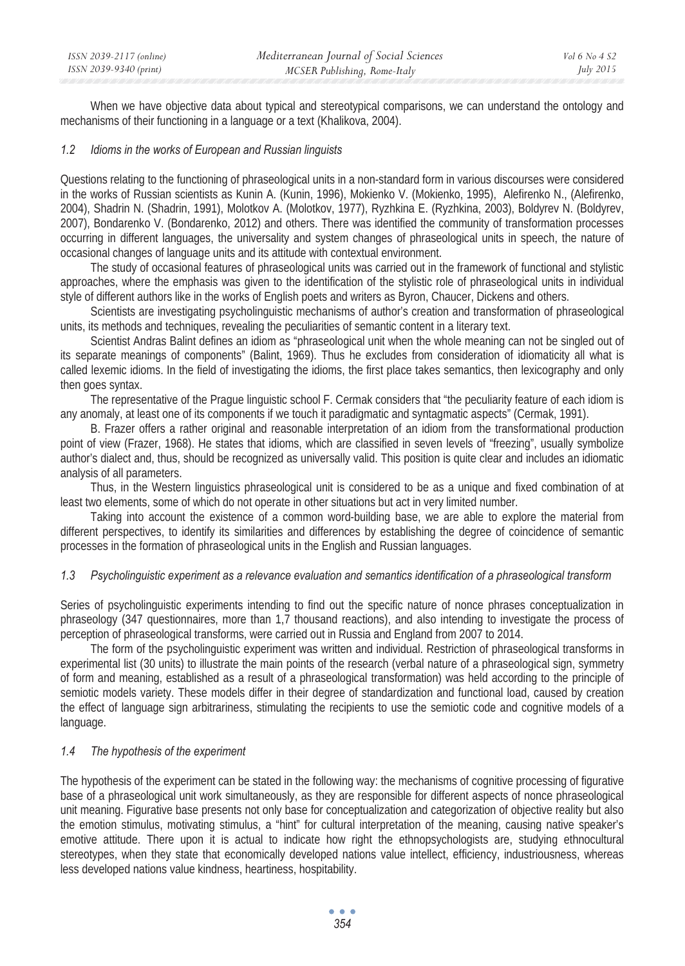| ISSN 2039-2117 (online) | Mediterranean Journal of Social Sciences | Vol 6 No 4 S2    |
|-------------------------|------------------------------------------|------------------|
| ISSN 2039-9340 (print)  | MCSER Publishing, Rome-Italy             | <i>July 2015</i> |

When we have objective data about typical and stereotypical comparisons, we can understand the ontology and mechanisms of their functioning in a language or a text (Khalikova, 2004).

#### *1.2 Idioms in the works of European and Russian linguists*

Questions relating to the functioning of phraseological units in a non-standard form in various discourses were considered in the works of Russian scientists as Kunin A. (Kunin, 1996), Mokienko V. (Mokienko, 1995), Alefirenko N., (Alefirenko, 2004), Shadrin N. (Shadrin, 1991), Molotkov A. (Molotkov, 1977), Ryzhkina E. (Ryzhkina, 2003), Boldyrev N. (Boldyrev, 2007), Bondarenko V. (Bondarenko, 2012) and others. There was identified the community of transformation processes occurring in different languages, the universality and system changes of phraseological units in speech, the nature of occasional changes of language units and its attitude with contextual environment.

The study of occasional features of phraseological units was carried out in the framework of functional and stylistic approaches, where the emphasis was given to the identification of the stylistic role of phraseological units in individual style of different authors like in the works of English poets and writers as Byron, Chaucer, Dickens and others.

Scientists are investigating psycholinguistic mechanisms of author's creation and transformation of phraseological units, its methods and techniques, revealing the peculiarities of semantic content in a literary text.

Scientist Andras Balint defines an idiom as "phraseological unit when the whole meaning can not be singled out of its separate meanings of components" (Balint, 1969). Thus he excludes from consideration of idiomaticity all what is called lexemic idioms. In the field of investigating the idioms, the first place takes semantics, then lexicography and only then goes syntax.

The representative of the Prague linguistic school F. Cermak considers that "the peculiarity feature of each idiom is any anomaly, at least one of its components if we touch it paradigmatic and syntagmatic aspects" (Cermak, 1991).

B. Frazer offers a rather original and reasonable interpretation of an idiom from the transformational production point of view (Frazer, 1968). He states that idioms, which are classified in seven levels of "freezing", usually symbolize author's dialect and, thus, should be recognized as universally valid. This position is quite clear and includes an idiomatic analysis of all parameters.

Thus, in the Western linguistics phraseological unit is considered to be as a unique and fixed combination of at least two elements, some of which do not operate in other situations but act in very limited number.

Taking into account the existence of a common word-building base, we are able to explore the material from different perspectives, to identify its similarities and differences by establishing the degree of coincidence of semantic processes in the formation of phraseological units in the English and Russian languages.

### *1.3 Psycholinguistic experiment as a relevance evaluation and semantics identification of a phraseological transform*

Series of psycholinguistic experiments intending to find out the specific nature of nonce phrases conceptualization in phraseology (347 questionnaires, more than 1,7 thousand reactions), and also intending to investigate the process of perception of phraseological transforms, were carried out in Russia and England from 2007 to 2014.

The form of the psycholinguistic experiment was written and individual. Restriction of phraseological transforms in experimental list (30 units) to illustrate the main points of the research (verbal nature of a phraseological sign, symmetry of form and meaning, established as a result of a phraseological transformation) was held according to the principle of semiotic models variety. These models differ in their degree of standardization and functional load, caused by creation the effect of language sign arbitrariness, stimulating the recipients to use the semiotic code and cognitive models of a language.

### *1.4 The hypothesis of the experiment*

The hypothesis of the experiment can be stated in the following way: the mechanisms of cognitive processing of figurative base of a phraseological unit work simultaneously, as they are responsible for different aspects of nonce phraseological unit meaning. Figurative base presents not only base for conceptualization and categorization of objective reality but also the emotion stimulus, motivating stimulus, a "hint" for cultural interpretation of the meaning, causing native speaker's emotive attitude. There upon it is actual to indicate how right the ethnopsychologists are, studying ethnocultural stereotypes, when they state that economically developed nations value intellect, efficiency, industriousness, whereas less developed nations value kindness, heartiness, hospitability.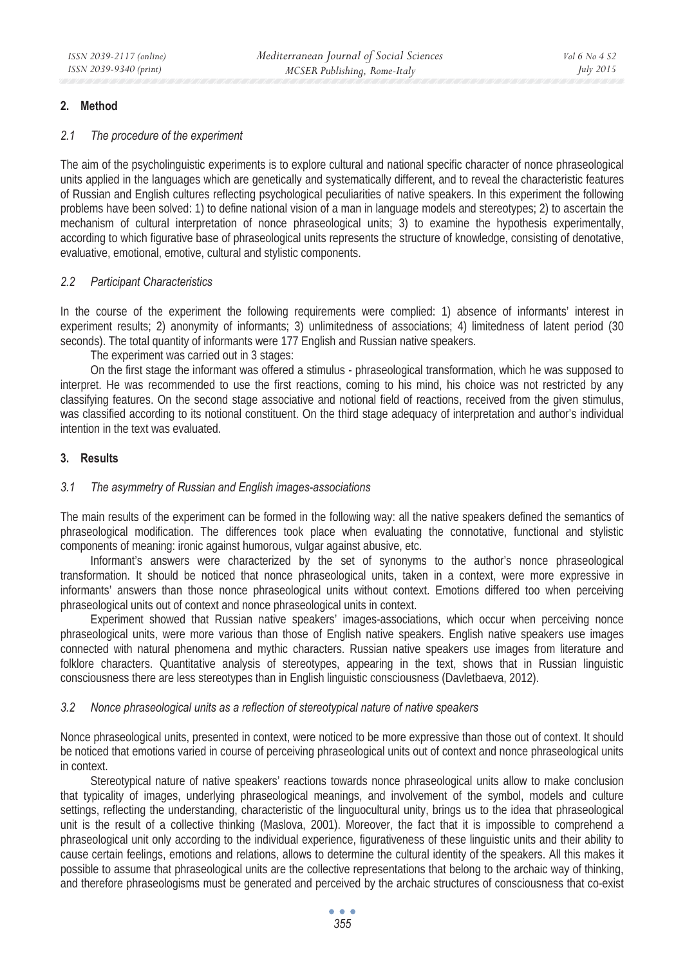# **2. Method**

### *2.1 The procedure of the experiment*

The aim of the psycholinguistic experiments is to explore cultural and national specific character of nonce phraseological units applied in the languages which are genetically and systematically different, and to reveal the characteristic features of Russian and English cultures reflecting psychological peculiarities of native speakers. In this experiment the following problems have been solved: 1) to define national vision of a man in language models and stereotypes; 2) to ascertain the mechanism of cultural interpretation of nonce phraseological units; 3) to examine the hypothesis experimentally, according to which figurative base of phraseological units represents the structure of knowledge, consisting of denotative, evaluative, emotional, emotive, cultural and stylistic components.

# *2.2 Participant Characteristics*

In the course of the experiment the following requirements were complied: 1) absence of informants' interest in experiment results; 2) anonymity of informants; 3) unlimitedness of associations; 4) limitedness of latent period (30 seconds). The total quantity of informants were 177 English and Russian native speakers.

The experiment was carried out in 3 stages:

On the first stage the informant was offered a stimulus - phraseological transformation, which he was supposed to interpret. He was recommended to use the first reactions, coming to his mind, his choice was not restricted by any classifying features. On the second stage associative and notional field of reactions, received from the given stimulus, was classified according to its notional constituent. On the third stage adequacy of interpretation and author's individual intention in the text was evaluated.

# **3. Results**

# *3.1 The asymmetry of Russian and English images-associations*

The main results of the experiment can be formed in the following way: all the native speakers defined the semantics of phraseological modification. The differences took place when evaluating the connotative, functional and stylistic components of meaning: ironic against humorous, vulgar against abusive, etc.

Informant's answers were characterized by the set of synonyms to the author's nonce phraseological transformation. It should be noticed that nonce phraseological units, taken in a context, were more expressive in informants' answers than those nonce phraseological units without context. Emotions differed too when perceiving phraseological units out of context and nonce phraseological units in context.

Experiment showed that Russian native speakers' images-associations, which occur when perceiving nonce phraseological units, were more various than those of English native speakers. English native speakers use images connected with natural phenomena and mythic characters. Russian native speakers use images from literature and folklore characters. Quantitative analysis of stereotypes, appearing in the text, shows that in Russian linguistic consciousness there are less stereotypes than in English linguistic consciousness (Davletbaeva, 2012).

# *3.2 Nonce phraseological units as a reflection of stereotypical nature of native speakers*

Nonce phraseological units, presented in context, were noticed to be more expressive than those out of context. It should be noticed that emotions varied in course of perceiving phraseological units out of context and nonce phraseological units in context.

Stereotypical nature of native speakers' reactions towards nonce phraseological units allow to make conclusion that typicality of images, underlying phraseological meanings, and involvement of the symbol, models and culture settings, reflecting the understanding, characteristic of the linguocultural unity, brings us to the idea that phraseological unit is the result of a collective thinking (Maslova, 2001). Moreover, the fact that it is impossible to comprehend a phraseological unit only according to the individual experience, figurativeness of these linguistic units and their ability to cause certain feelings, emotions and relations, allows to determine the cultural identity of the speakers. All this makes it possible to assume that phraseological units are the collective representations that belong to the archaic way of thinking, and therefore phraseologisms must be generated and perceived by the archaic structures of consciousness that co-exist

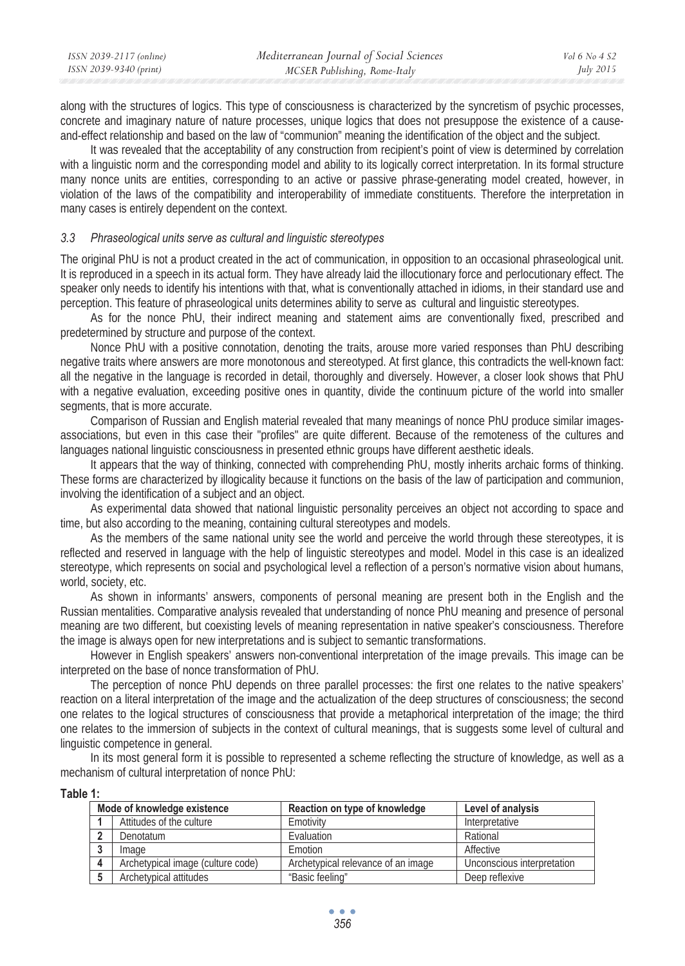| ISSN 2039-2117 (online) | Mediterranean Journal of Social Sciences | Vol 6 No 4 $S2$ |
|-------------------------|------------------------------------------|-----------------|
| ISSN 2039-9340 (print)  | MCSER Publishing, Rome-Italy             | July 2015       |

along with the structures of logics. This type of consciousness is characterized by the syncretism of psychic processes, concrete and imaginary nature of nature processes, unique logics that does not presuppose the existence of a causeand-effect relationship and based on the law of "communion" meaning the identification of the object and the subject.

It was revealed that the acceptability of any construction from recipient's point of view is determined by correlation with a linguistic norm and the corresponding model and ability to its logically correct interpretation. In its formal structure many nonce units are entities, corresponding to an active or passive phrase-generating model created, however, in violation of the laws of the compatibility and interoperability of immediate constituents. Therefore the interpretation in many cases is entirely dependent on the context.

### *3.3 Phraseological units serve as cultural and linguistic stereotypes*

The original PhU is not a product created in the act of communication, in opposition to an occasional phraseological unit. It is reproduced in a speech in its actual form. They have already laid the illocutionary force and perlocutionary effect. The speaker only needs to identify his intentions with that, what is conventionally attached in idioms, in their standard use and perception. This feature of phraseological units determines ability to serve as cultural and linguistic stereotypes.

As for the nonce PhU, their indirect meaning and statement aims are conventionally fixed, prescribed and predetermined by structure and purpose of the context.

Nonce PhU with a positive connotation, denoting the traits, arouse more varied responses than PhU describing negative traits where answers are more monotonous and stereotyped. At first glance, this contradicts the well-known fact: all the negative in the language is recorded in detail, thoroughly and diversely. However, a closer look shows that PhU with a negative evaluation, exceeding positive ones in quantity, divide the continuum picture of the world into smaller segments, that is more accurate.

Comparison of Russian and English material revealed that many meanings of nonce PhU produce similar imagesassociations, but even in this case their "profiles" are quite different. Because of the remoteness of the cultures and languages national linguistic consciousness in presented ethnic groups have different aesthetic ideals.

It appears that the way of thinking, connected with comprehending PhU, mostly inherits archaic forms of thinking. These forms are characterized by illogicality because it functions on the basis of the law of participation and communion, involving the identification of a subject and an object.

As experimental data showed that national linguistic personality perceives an object not according to space and time, but also according to the meaning, containing cultural stereotypes and models.

As the members of the same national unity see the world and perceive the world through these stereotypes, it is reflected and reserved in language with the help of linguistic stereotypes and model. Model in this case is an idealized stereotype, which represents on social and psychological level a reflection of a person's normative vision about humans, world, society, etc.

As shown in informants' answers, components of personal meaning are present both in the English and the Russian mentalities. Comparative analysis revealed that understanding of nonce PhU meaning and presence of personal meaning are two different, but coexisting levels of meaning representation in native speaker's consciousness. Therefore the image is always open for new interpretations and is subject to semantic transformations.

However in English speakers' answers non-conventional interpretation of the image prevails. This image can be interpreted on the base of nonce transformation of PhU.

The perception of nonce PhU depends on three parallel processes: the first one relates to the native speakers' reaction on a literal interpretation of the image and the actualization of the deep structures of consciousness; the second one relates to the logical structures of consciousness that provide a metaphorical interpretation of the image; the third one relates to the immersion of subjects in the context of cultural meanings, that is suggests some level of cultural and linguistic competence in general.

In its most general form it is possible to represented a scheme reflecting the structure of knowledge, as well as a mechanism of cultural interpretation of nonce PhU:

**Table 1:** 

| Mode of knowledge existence |                                   | Reaction on type of knowledge      | Level of analysis          |
|-----------------------------|-----------------------------------|------------------------------------|----------------------------|
|                             | Attitudes of the culture          | Emotivity                          | Interpretative             |
|                             | Denotatum                         | Evaluation                         | Rational                   |
|                             | Image                             | Emotion                            | Affective                  |
|                             | Archetypical image (culture code) | Archetypical relevance of an image | Unconscious interpretation |
|                             | Archetypical attitudes            | "Basic feeling"                    | Deep reflexive             |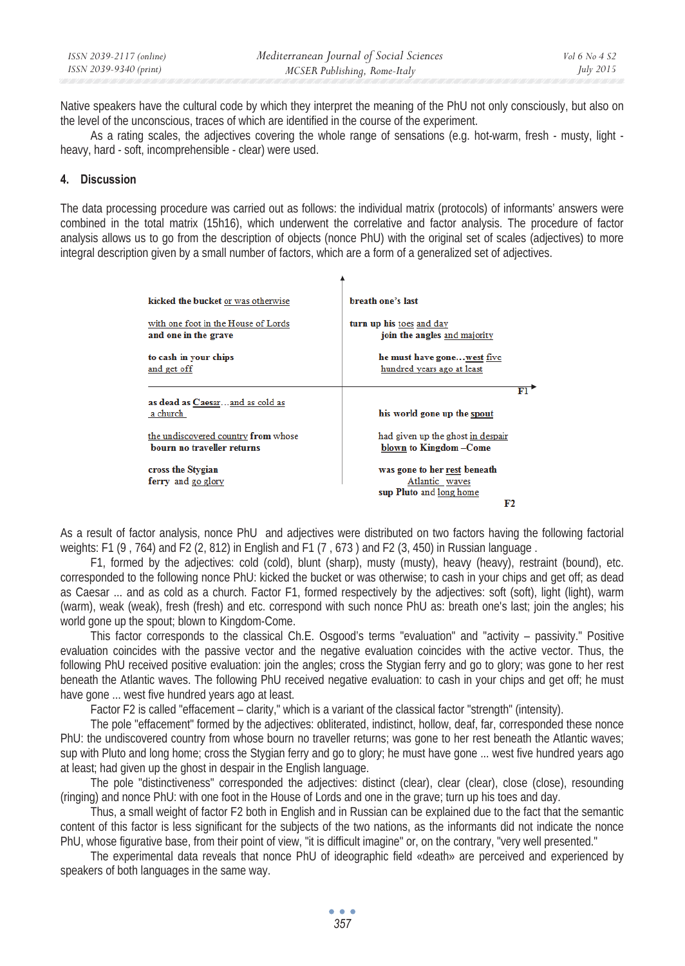Native speakers have the cultural code by which they interpret the meaning of the PhU not only consciously, but also on the level of the unconscious, traces of which are identified in the course of the experiment.

As a rating scales, the adjectives covering the whole range of sensations (e.g. hot-warm, fresh - musty, light heavy, hard - soft, incomprehensible - clear) were used.

### **4. Discussion**

The data processing procedure was carried out as follows: the individual matrix (protocols) of informants' answers were combined in the total matrix (15h16), which underwent the correlative and factor analysis. The procedure of factor analysis allows us to go from the description of objects (nonce PhU) with the original set of scales (adjectives) to more integral description given by a small number of factors, which are a form of a generalized set of adjectives.

| kicked the bucket or was otherwise                                | breath one's last                                                               |
|-------------------------------------------------------------------|---------------------------------------------------------------------------------|
| with one foot in the House of Lords<br>and one in the grave       | turn up his toes and day<br>join the angles and majority                        |
| to cash in your chips<br>and get off                              | he must have gonewest five<br>hundred vears ago at least                        |
| as dead as Caesarand as cold as<br>a church                       | his world gone up the spout                                                     |
| the undiscovered country from whose<br>bourn no traveller returns | had given up the ghost in despair<br>blown to Kingdom - Come                    |
| cross the Stygian<br>ferry and go glory                           | was gone to her rest beneath<br>Atlantic waves<br>sup Pluto and long home<br>F2 |

As a result of factor analysis, nonce PhU and adjectives were distributed on two factors having the following factorial weights: F1 (9 , 764) and F2 (2, 812) in English and F1 (7 , 673 ) and F2 (3, 450) in Russian language .

F1, formed by the adjectives: cold (cold), blunt (sharp), musty (musty), heavy (heavy), restraint (bound), etc. corresponded to the following nonce PhU: kicked the bucket or was otherwise; to cash in your chips and get off; as dead as Caesar ... and as cold as a church. Factor F1, formed respectively by the adjectives: soft (soft), light (light), warm (warm), weak (weak), fresh (fresh) and etc. correspond with such nonce PhU as: breath one's last; join the angles; his world gone up the spout; blown to Kingdom-Come.

This factor corresponds to the classical Ch.E. Osgood's terms "evaluation" and "activity – passivity." Positive evaluation coincides with the passive vector and the negative evaluation coincides with the active vector. Thus, the following PhU received positive evaluation: join the angles; cross the Stygian ferry and go to glory; was gone to her rest beneath the Atlantic waves. The following PhU received negative evaluation: to cash in your chips and get off; he must have gone ... west five hundred years ago at least.

Factor F2 is called "effacement – clarity," which is a variant of the classical factor "strength" (intensity).

The pole "effacement" formed by the adjectives: obliterated, indistinct, hollow, deaf, far, corresponded these nonce PhU: the undiscovered country from whose bourn no traveller returns; was gone to her rest beneath the Atlantic waves; sup with Pluto and long home; cross the Stygian ferry and go to glory; he must have gone ... west five hundred years ago at least; had given up the ghost in despair in the English language.

The pole "distinctiveness" corresponded the adjectives: distinct (clear), clear (clear), close (close), resounding (ringing) and nonce PhU: with one foot in the House of Lords and one in the grave; turn up his toes and day.

Thus, a small weight of factor F2 both in English and in Russian can be explained due to the fact that the semantic content of this factor is less significant for the subjects of the two nations, as the informants did not indicate the nonce PhU, whose figurative base, from their point of view, "it is difficult imagine" or, on the contrary, "very well presented."

The experimental data reveals that nonce PhU of ideographic field «death» are perceived and experienced by speakers of both languages in the same way.